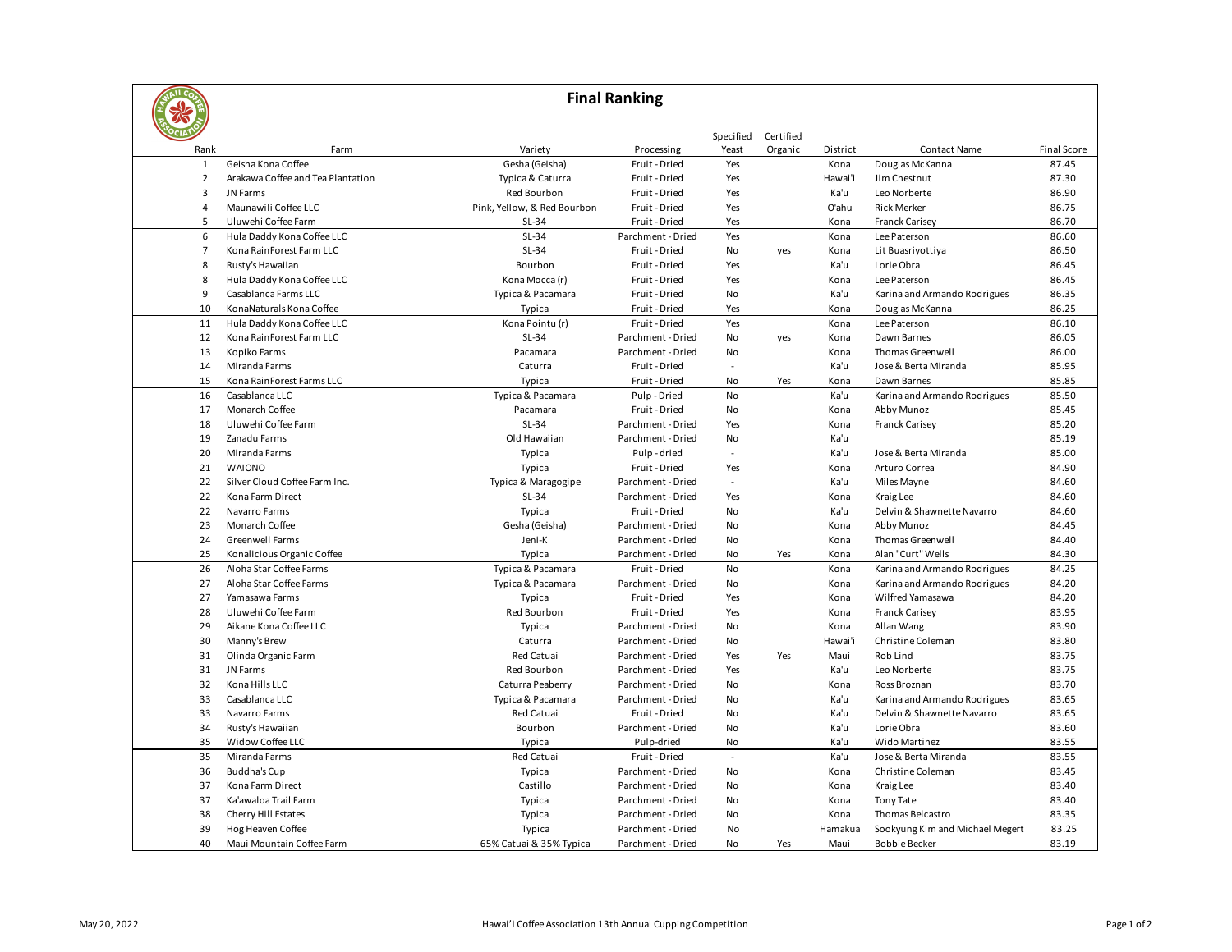| <b>Final Ranking</b> |                                   |                             |                   |                |           |          |                                 |                    |  |  |
|----------------------|-----------------------------------|-----------------------------|-------------------|----------------|-----------|----------|---------------------------------|--------------------|--|--|
|                      |                                   |                             |                   |                |           |          |                                 |                    |  |  |
|                      |                                   |                             |                   | Specified      | Certified |          |                                 |                    |  |  |
| Rank                 | Farm                              | Variety                     | Processing        | Yeast          | Organic   | District | <b>Contact Name</b>             | <b>Final Score</b> |  |  |
| $\mathbf{1}$         | Geisha Kona Coffee                | Gesha (Geisha)              | Fruit - Dried     | Yes            |           | Kona     | Douglas McKanna                 | 87.45              |  |  |
| $\overline{2}$       | Arakawa Coffee and Tea Plantation | Typica & Caturra            | Fruit - Dried     | Yes            |           | Hawai'i  | Jim Chestnut                    | 87.30              |  |  |
| 3                    | JN Farms                          | Red Bourbon                 | Fruit - Dried     | Yes            |           | Ka'u     | Leo Norberte                    | 86.90              |  |  |
| $\overline{4}$       | Maunawili Coffee LLC              | Pink, Yellow, & Red Bourbon | Fruit - Dried     | Yes            |           | O'ahu    | <b>Rick Merker</b>              | 86.75              |  |  |
| 5                    | Uluwehi Coffee Farm               | $SL-34$                     | Fruit - Dried     | Yes            |           | Kona     | <b>Franck Carisey</b>           | 86.70              |  |  |
| 6                    | Hula Daddy Kona Coffee LLC        | $SL-34$                     | Parchment - Dried | Yes            |           | Kona     | Lee Paterson                    | 86.60              |  |  |
| $\overline{7}$       | Kona RainForest Farm LLC          | $SL-34$                     | Fruit - Dried     | No             | yes       | Kona     | Lit Buasriyottiya               | 86.50              |  |  |
| 8                    | Rusty's Hawaiian                  | Bourbon                     | Fruit - Dried     | Yes            |           | Ka'u     | Lorie Obra                      | 86.45              |  |  |
| 8                    | Hula Daddy Kona Coffee LLC        | Kona Mocca (r)              | Fruit - Dried     | Yes            |           | Kona     | Lee Paterson                    | 86.45              |  |  |
| 9                    | Casablanca Farms LLC              | Typica & Pacamara           | Fruit - Dried     | No             |           | Ka'u     | Karina and Armando Rodrigues    | 86.35              |  |  |
| 10                   | KonaNaturals Kona Coffee          | Typica                      | Fruit - Dried     | Yes            |           | Kona     | Douglas McKanna                 | 86.25              |  |  |
| 11                   | Hula Daddy Kona Coffee LLC        | Kona Pointu (r)             | Fruit - Dried     | Yes            |           | Kona     | Lee Paterson                    | 86.10              |  |  |
| 12                   | Kona RainForest Farm LLC          | $SL-34$                     | Parchment - Dried | No             | yes       | Kona     | Dawn Barnes                     | 86.05              |  |  |
| 13                   | Kopiko Farms                      | Pacamara                    | Parchment - Dried | No             |           | Kona     | Thomas Greenwell                | 86.00              |  |  |
| 14                   | Miranda Farms                     | Caturra                     | Fruit - Dried     |                |           | Ka'u     | Jose & Berta Miranda            | 85.95              |  |  |
| 15                   | Kona RainForest Farms LLC         | Typica                      | Fruit - Dried     | No             | Yes       | Kona     | Dawn Barnes                     | 85.85              |  |  |
| 16                   | Casablanca LLC                    | Typica & Pacamara           | Pulp-Dried        | <b>No</b>      |           | Ka'u     | Karina and Armando Rodrigues    | 85.50              |  |  |
| 17                   | Monarch Coffee                    | Pacamara                    | Fruit - Dried     | No             |           | Kona     | Abby Munoz                      | 85.45              |  |  |
| 18                   | Uluwehi Coffee Farm               | $SL-34$                     | Parchment - Dried | Yes            |           | Kona     | <b>Franck Carisey</b>           | 85.20              |  |  |
| 19                   | Zanadu Farms                      | Old Hawaiian                | Parchment - Dried | No             |           | Ka'u     |                                 | 85.19              |  |  |
| 20                   | Miranda Farms                     | Typica                      | Pulp-dried        | $\overline{a}$ |           | Ka'u     | Jose & Berta Miranda            | 85.00              |  |  |
| 21                   | <b>WAIONO</b>                     | Typica                      | Fruit - Dried     | Yes            |           | Kona     | Arturo Correa                   | 84.90              |  |  |
| 22                   | Silver Cloud Coffee Farm Inc.     | Typica & Maragogipe         | Parchment - Dried | $\mathbb{Z}^2$ |           | Ka'u     | Miles Mayne                     | 84.60              |  |  |
| 22                   | Kona Farm Direct                  | $SL-34$                     | Parchment - Dried | Yes            |           | Kona     | Kraig Lee                       | 84.60              |  |  |
| 22                   | Navarro Farms                     | Typica                      | Fruit - Dried     | No             |           | Ka'u     | Delvin & Shawnette Navarro      | 84.60              |  |  |
| 23                   | Monarch Coffee                    | Gesha (Geisha)              | Parchment - Dried | No             |           | Kona     | Abby Munoz                      | 84.45              |  |  |
| 24                   | Greenwell Farms                   | Jeni-K                      | Parchment - Dried | No             |           | Kona     | Thomas Greenwell                | 84.40              |  |  |
| 25                   | Konalicious Organic Coffee        | Typica                      | Parchment - Dried | No             | Yes       | Kona     | Alan "Curt" Wells               | 84.30              |  |  |
| 26                   | Aloha Star Coffee Farms           | Typica & Pacamara           | Fruit - Dried     | No             |           | Kona     | Karina and Armando Rodrigues    | 84.25              |  |  |
| 27                   | Aloha Star Coffee Farms           | Typica & Pacamara           | Parchment - Dried | No             |           | Kona     | Karina and Armando Rodrigues    | 84.20              |  |  |
| 27                   | Yamasawa Farms                    | Typica                      | Fruit - Dried     | Yes            |           | Kona     | Wilfred Yamasawa                | 84.20              |  |  |
| 28                   | Uluwehi Coffee Farm               | Red Bourbon                 | Fruit - Dried     | Yes            |           | Kona     | <b>Franck Carisey</b>           | 83.95              |  |  |
| 29                   | Aikane Kona Coffee LLC            | Typica                      | Parchment - Dried | No             |           | Kona     | Allan Wang                      | 83.90              |  |  |
| 30                   | Manny's Brew                      | Caturra                     | Parchment - Dried | No             |           | Hawai'i  | Christine Coleman               | 83.80              |  |  |
| 31                   | Olinda Organic Farm               | Red Catuai                  | Parchment - Dried | Yes            | Yes       | Maui     | Rob Lind                        | 83.75              |  |  |
| 31                   | JN Farms                          | Red Bourbon                 | Parchment - Dried | Yes            |           | Ka'u     | Leo Norberte                    | 83.75              |  |  |
| 32                   | Kona Hills LLC                    | Caturra Peaberry            | Parchment - Dried | No             |           | Kona     | Ross Broznan                    | 83.70              |  |  |
| 33                   | Casablanca LLC                    | Typica & Pacamara           | Parchment - Dried | No             |           | Ka'u     | Karina and Armando Rodrigues    | 83.65              |  |  |
| 33                   | Navarro Farms                     | <b>Red Catuai</b>           | Fruit - Dried     | No             |           | Ka'u     | Delvin & Shawnette Navarro      | 83.65              |  |  |
| 34                   | Rusty's Hawaiian                  | Bourbon                     | Parchment - Dried | No             |           | Ka'u     | Lorie Obra                      | 83.60              |  |  |
| 35                   | Widow Coffee LLC                  | Typica                      | Pulp-dried        | No             |           | Ka'u     | Wido Martinez                   | 83.55              |  |  |
| 35                   | Miranda Farms                     | <b>Red Catuai</b>           | Fruit - Dried     | $\overline{a}$ |           | Ka'u     | Jose & Berta Miranda            | 83.55              |  |  |
| 36                   | <b>Buddha's Cup</b>               | Typica                      | Parchment - Dried | No             |           | Kona     | Christine Coleman               | 83.45              |  |  |
| 37                   | Kona Farm Direct                  | Castillo                    | Parchment - Dried | No             |           | Kona     | Kraig Lee                       | 83.40              |  |  |
| 37                   | Ka'awaloa Trail Farm              | Typica                      | Parchment - Dried | No             |           | Kona     | <b>Tony Tate</b>                | 83.40              |  |  |
| 38                   | Cherry Hill Estates               | Typica                      | Parchment - Dried | No             |           | Kona     | Thomas Belcastro                | 83.35              |  |  |
| 39                   | Hog Heaven Coffee                 | Typica                      | Parchment - Dried | No             |           | Hamakua  | Sookyung Kim and Michael Megert | 83.25              |  |  |
| 40                   | Maui Mountain Coffee Farm         | 65% Catuai & 35% Typica     | Parchment - Dried | <b>No</b>      | Yes       | Maui     | <b>Bobbie Becker</b>            | 83.19              |  |  |